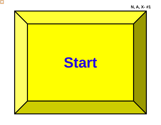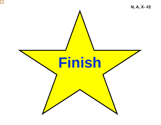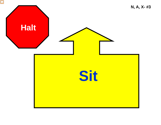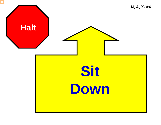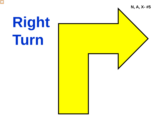

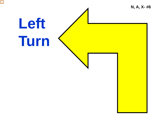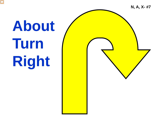

# **About Turn Right**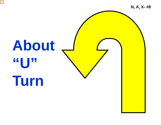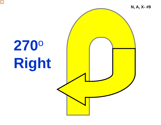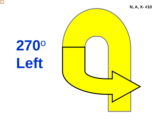

N, A, X-#10

## 2700 Left

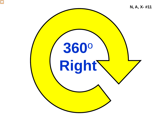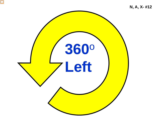![](_page_11_Picture_0.jpeg)

![](_page_11_Picture_1.jpeg)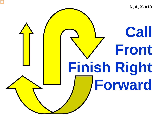![](_page_12_Picture_0.jpeg)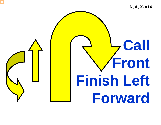![](_page_13_Picture_0.jpeg)

![](_page_13_Picture_1.jpeg)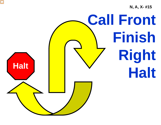**N, A, X - #15**

![](_page_14_Picture_1.jpeg)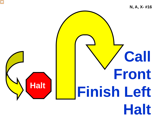![](_page_15_Picture_0.jpeg)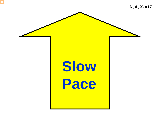![](_page_16_Picture_0.jpeg)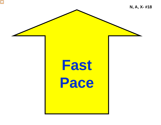![](_page_17_Picture_0.jpeg)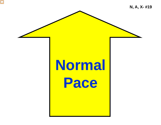**N, A, X- #19**

## **Normal Pace**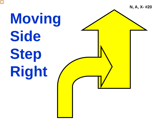![](_page_19_Picture_0.jpeg)

**N, A, X - #20**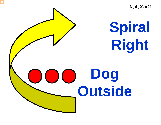**Spiral Right Dog Outside N, A, X- #21**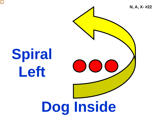![](_page_21_Picture_0.jpeg)

**Spiral Left**

![](_page_21_Picture_2.jpeg)

**N, A, X- #22**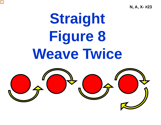**N, A, X- #23**

## **Straight Figure 8 Weave Twice**

![](_page_22_Picture_2.jpeg)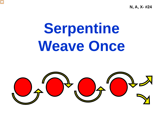**N, A, X- #24**

## **Serpentine Weave Once**

![](_page_23_Picture_2.jpeg)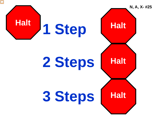![](_page_24_Picture_0.jpeg)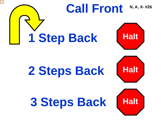![](_page_25_Picture_0.jpeg)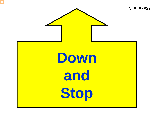![](_page_26_Picture_0.jpeg)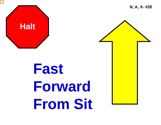![](_page_27_Picture_0.jpeg)

## **Fast Forward From Sit**

**N, A, X- #28**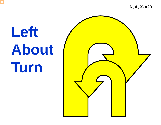**N, A, X - #29**

## **Left About Turn**

![](_page_28_Picture_2.jpeg)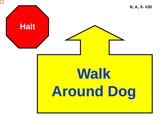![](_page_29_Picture_0.jpeg)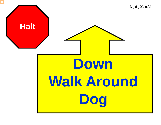![](_page_30_Picture_0.jpeg)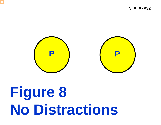![](_page_31_Picture_0.jpeg)

N, A, X-#32

![](_page_31_Picture_2.jpeg)

## Figure 8 **No Distractions**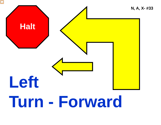![](_page_32_Figure_0.jpeg)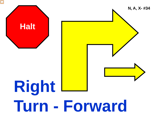![](_page_33_Figure_0.jpeg)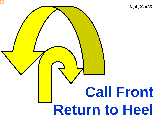![](_page_34_Picture_0.jpeg)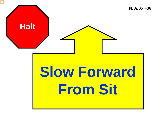![](_page_35_Picture_0.jpeg)

## **Slow Forward From Sit**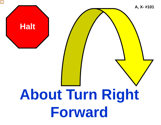![](_page_36_Picture_0.jpeg)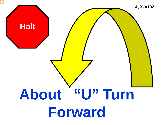![](_page_37_Figure_0.jpeg)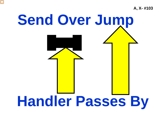**A, X- #103**

![](_page_38_Picture_1.jpeg)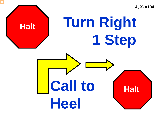**A, X- #104**

#### **Turn Right 1 Step Call to Heel Halt Halt Halt**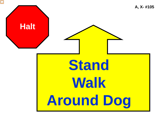![](_page_40_Picture_0.jpeg)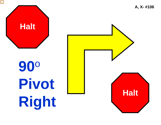![](_page_41_Picture_0.jpeg)

# 90° Pivot Right

![](_page_41_Picture_2.jpeg)

A, X-#106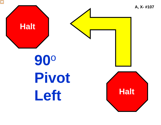![](_page_42_Picture_0.jpeg)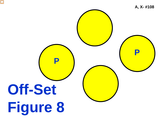![](_page_43_Picture_0.jpeg)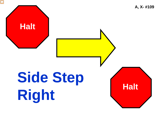![](_page_44_Picture_0.jpeg)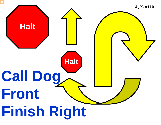![](_page_45_Picture_0.jpeg)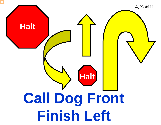![](_page_46_Picture_0.jpeg)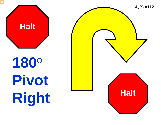![](_page_47_Picture_0.jpeg)

![](_page_47_Picture_1.jpeg)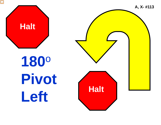![](_page_48_Picture_0.jpeg)

1800 Pivot Left

![](_page_48_Picture_2.jpeg)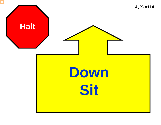![](_page_49_Picture_0.jpeg)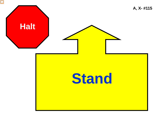![](_page_50_Picture_0.jpeg)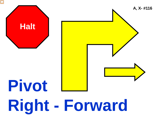![](_page_51_Picture_0.jpeg)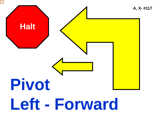![](_page_52_Figure_0.jpeg)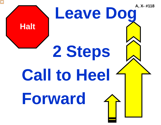![](_page_53_Picture_0.jpeg)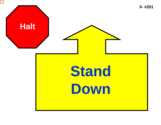![](_page_54_Picture_0.jpeg)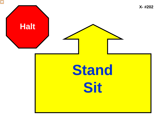![](_page_55_Picture_0.jpeg)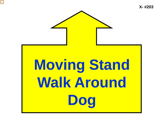![](_page_56_Picture_1.jpeg)

# **Moving Stand Walk Around Dog**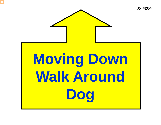![](_page_57_Picture_0.jpeg)

![](_page_57_Picture_1.jpeg)

# **Moving Down Walk Around Dog**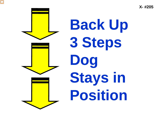![](_page_58_Picture_1.jpeg)

**Back Up 3 Steps Dog Stays in Position**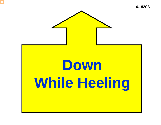![](_page_59_Picture_0.jpeg)

![](_page_59_Picture_2.jpeg)

## **Down While Heeling**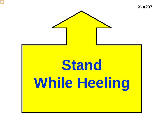![](_page_60_Picture_0.jpeg)

![](_page_60_Picture_2.jpeg)

## **Stand While Heeling**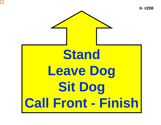![](_page_61_Picture_0.jpeg)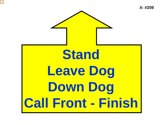**Stand Leave Dog Down Dog** 

**Call Front - Finish**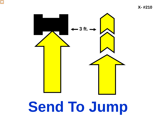![](_page_63_Picture_1.jpeg)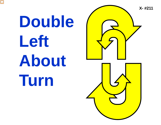![](_page_64_Picture_0.jpeg)

![](_page_64_Picture_1.jpeg)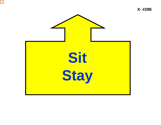![](_page_65_Picture_0.jpeg)

X-#298

![](_page_65_Picture_2.jpeg)